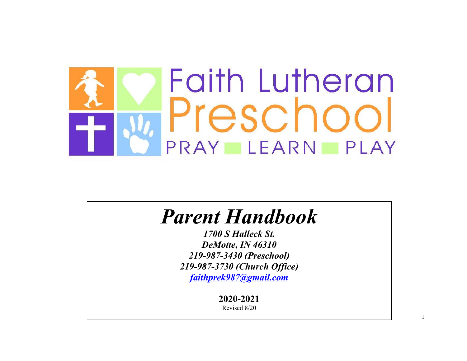

# *Parent Handbook*

*1700 S Halleck St. DeMotte, IN 46310 219 -987-3430 (Preschool) 219 -987-3730 (Church Office) [faithprek987@gmail.com](mailto:faithprek987@gmail.com)*

**2020 -2021**

Revised 8/20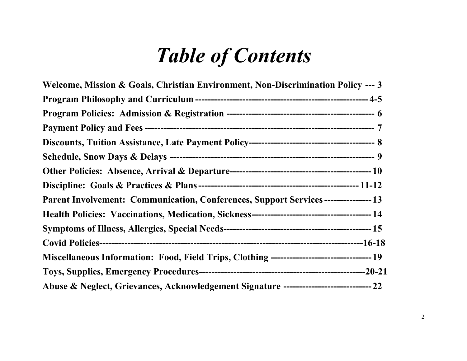# *Table of Contents*

| Welcome, Mission & Goals, Christian Environment, Non-Discrimination Policy --- 3   |  |
|------------------------------------------------------------------------------------|--|
|                                                                                    |  |
|                                                                                    |  |
|                                                                                    |  |
|                                                                                    |  |
|                                                                                    |  |
|                                                                                    |  |
|                                                                                    |  |
| Parent Involvement: Communication, Conferences, Support Services ---------------13 |  |
|                                                                                    |  |
|                                                                                    |  |
|                                                                                    |  |
|                                                                                    |  |
|                                                                                    |  |
|                                                                                    |  |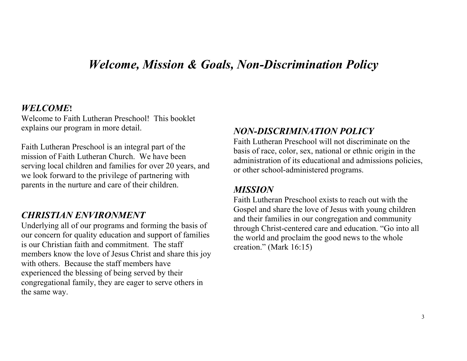# *Welcome, Mission & Goals, Non-Discrimination Policy*

#### *WELCOME***!**

Welcome to Faith Lutheran Preschool! This booklet explains our program in more detail.

Faith Lutheran Preschool is an integral part of the mission of Faith Lutheran Church. We have been serving local children and families for over 20 years, and we look forward to the privilege of partnering with parents in the nurture and care of their children.

#### *CHRISTIAN ENVIRONMENT*

Underlying all of our programs and forming the basis of our concern for quality education and support of families is our Christian faith and commitment. The staff members know the love of Jesus Christ and share this joy with others. Because the staff members have experienced the blessing of being served by their congregational family, they are eager to serve others in the same way.

#### *NON-DISCRIMINATION POLICY*

Faith Lutheran Preschool will not discriminate on the basis of race, color, sex, national or ethnic origin in the administration of its educational and admissions policies, or other school-administered programs.

#### *MISSION*

Faith Lutheran Preschool exists to reach out with the Gospel and share the love of Jesus with young children and their families in our congregation and community through Christ-centered care and education. "Go into all the world and proclaim the good news to the whole creation." (Mark 16:15)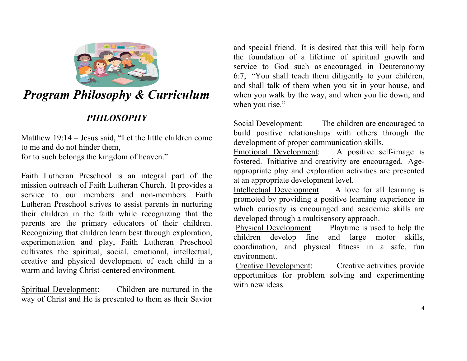

# *Program Philosophy & Curriculum*

# *PHILOSOPHY*

Matthew 19:14 – Jesus said, "Let the little children come to me and do not hinder them, for to such belongs the kingdom of heaven."

Faith Lutheran Preschool is an integral part of the mission outreach of Faith Lutheran Church. It provides a service to our members and non-members. Faith Lutheran Preschool strives to assist parents in nurturing their children in the faith while recognizing that the parents are the primary educators of their children. Recognizing that children learn best through exploration, experimentation and play, Faith Lutheran Preschool cultivates the spiritual, social, emotional, intellectual, creative and physical development of each child in a warm and loving Christ-centered environment.

Spiritual Development: Children are nurtured in the way of Christ and He is presented to them as their Savior and special friend. It is desired that this will help form the foundation of a lifetime of spiritual growth and service to God such as encouraged in Deuteronomy 6:7, "You shall teach them diligently to your children, and shall talk of them when you sit in your house, and when you walk by the way, and when you lie down, and when you rise."

Social Development: The children are encouraged to build positive relationships with others through the development of proper communication skills.

Emotional Development: A positive self-image is fostered. Initiative and creativity are encouraged. Ageappropriate play and exploration activities are presented at an appropriate development level.

Intellectual Development: A love for all learning is promoted by providing a positive learning experience in which curiosity is encouraged and academic skills are developed through a multisensory approach.<br>Physical Development: Playtime is use

Playtime is used to help the children develop fine and large motor skills, coordination, and physical fitness in a safe, fun environment.

Creative Development: Creative activities provide opportunities for problem solving and experimenting with new ideas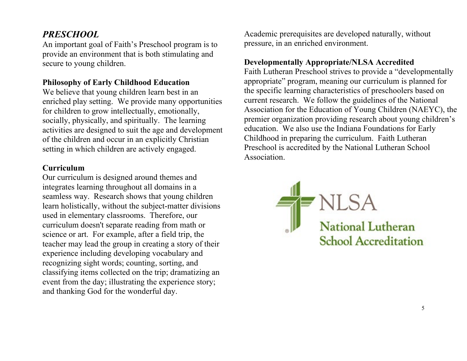### *PRESCHOOL*

An important goal of Faith's Preschool program is to provide an environment that is both stimulating and secure to young children.

#### **Philosophy of Early Childhood Education**

We believe that young children learn best in an enriched play setting. We provide many opportunities for children to grow intellectually, emotionally, socially, physically, and spiritually. The learning activities are designed to suit the age and development of the children and occur in an explicitly Christian setting in which children are actively engaged.

#### **Curriculum**

Our curriculum is designed around themes and integrates learning throughout all domains in a seamless way. Research shows that young children learn holistically, without the subject-matter divisions used in elementary classrooms. Therefore, our curriculum doesn't separate reading from math or science or art. For example, after a field trip, the teacher may lead the group in creating a story of their experience including developing vocabulary and recognizing sight words; counting, sorting, and classifying items collected on the trip; dramatizing an event from the day; illustrating the experience story; and thanking God for the wonderful day.

Academic prerequisites are developed naturally, without pressure, in an enriched environment.

#### **Developmentally Appropriate/NLSA Accredited**

Faith Lutheran Preschool strives to provide a "developmentally appropriate" program, meaning our curriculum is planned for the specific learning characteristics of preschoolers based on current research. We follow the guidelines of the National Association for the Education of Young Children (NAEYC), the premier organization providing research about young children's education. We also use the Indiana Foundations for Early Childhood in preparing the curriculum. Faith Lutheran Preschool is accredited by the National Lutheran School Association.

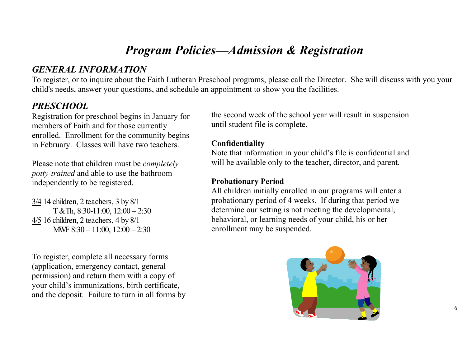# *Program Policies—Admission & Registration*

### *GENERAL INFORMATION*

To register, or to inquire about the Faith Lutheran Preschool programs, please call the Director. She will discuss with you your child's needs, answer your questions, and schedule an appointment to show you the facilities.

### *PRESCHOOL*

Registration for preschool begins in January for members of Faith and for those currently enrolled. Enrollment for the community begins in February. Classes will have two teachers.

Please note that children must be *completely potty-trained* and able to use the bathroom independently to be registered.

3/4 14 children, 2 teachers, 3 by 8/1 T & Th, 8:30-11:00, 12:00 – 2:30 4/5 16 children, 2 teachers, 4 by 8/1 MWF 8:30 – 11:00, 12:00 – 2:30

To register, complete all necessary forms (application, emergency contact, general permission) and return them with a copy of your child's immunizations, birth certificate, and the deposit. Failure to turn in all forms by the second week of the school year will result in suspension until student file is complete.

#### **Confidentiality**

Note that information in your child's file is confidential and will be available only to the teacher, director, and parent.

#### **Probationary Period**

All children initially enrolled in our programs will enter a probationary period of 4 weeks. If during that period we determine our setting is not meeting the developmental, behavioral, or learning needs of your child, his or her enrollment may be suspended.

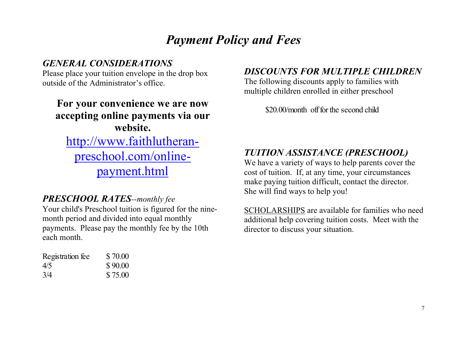# *Payment Policy and Fees*

# *GENERAL CONSIDERATIONS*

Please place your tuition envelope in the drop box outside of the Administrator's office.

# **For your convenience we are now accepting online payments via our website.** [http://www.faithlutheran](http://www.faithlutheran-preschool.com/online-payment.html)[preschool.com/online](http://www.faithlutheran-preschool.com/online-payment.html)[payment.html](http://www.faithlutheran-preschool.com/online-payment.html)

### *PRESCHOOL RATES--monthly fee*

Your child's Preschool tuition is figured for the ninemonth period and divided into equal monthly payments. Please pay the monthly fee by the 10th each month.

| Registration fee | \$70.00 |
|------------------|---------|
| 4/5              | \$90.00 |
| 3/4              | \$75.00 |

# *DISCOUNTS FOR MULTIPLE CHILDREN*

The following discounts apply to families with multiple children enrolled in either preschool

\$20.00/month off for the second child

# *TUITION ASSISTANCE (PRESCHOOL)*

We have a variety of ways to help parents cover the cost of tuition. If, at any time, your circumstances make paying tuition difficult, contact the director. She will find ways to help you!

SCHOLARSHIPS are available for families who need additional help covering tuition costs. Meet with the director to discuss your situation.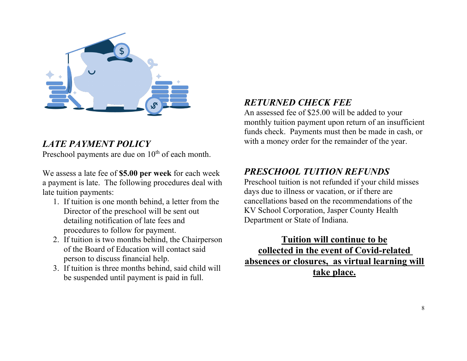

# *LATE PAYMENT POLICY*

Preschool payments are due on  $10<sup>th</sup>$  of each month.

We assess a late fee of **\$5.00 per week** for each week a payment is late. The following procedures deal with late tuition payments:

- 1. If tuition is one month behind, a letter from the Director of the preschool will be sent out detailing notification of late fees and procedures to follow for payment.
- 2. If tuition is two months behind, the Chairperson of the Board of Education will contact said person to discuss financial help.
- 3. If tuition is three months behind, said child will be suspended until payment is paid in full.

### *RETURNED CHECK FEE*

An assessed fee of \$25.00 will be added to your monthly tuition payment upon return of an insufficient funds check. Payments must then be made in cash, or with a money order for the remainder of the year.

# *PRESCHOOL TUITION REFUNDS*

Preschool tuition is not refunded if your child misses days due to illness or vacation, or if there are cancellations based on the recommendations of the KV School Corporation, Jasper County Health Department or State of Indiana.

**Tuition will continue to be collected in the event of Covid-related absences or closures, as virtual learning will take place.**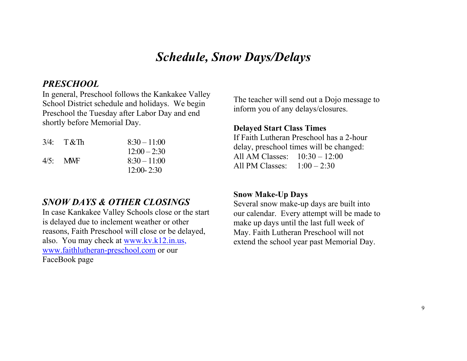# *Schedule, Snow Days/Delays*

#### *PRESCHOOL*

In general, Preschool follows the Kankakee Valley School District schedule and holidays. We begin Preschool the Tuesday after Labor Day and end shortly before Memorial Day.

|             | $3/4$ : T&Th | $8:30 - 11:00$ |
|-------------|--------------|----------------|
|             |              | $12:00 - 2:30$ |
| $4/5$ : MWF |              | $8:30 - 11:00$ |
|             |              | $12:00 - 2:30$ |

### *SNOW DAYS & OTHER CLOSINGS*

In case Kankakee Valley Schools close or the start is delayed due to inclement weather or other reasons, Faith Preschool will close or be delayed, also. You may check at [www.kv.k12.in.us,](http://www.kv.k12.in.us/) [www.faithlutheran-preschool.com](http://www.faithlutheran-preschool.com/) or our FaceBook page

The teacher will send out a Dojo message to inform you of any delays/closures.

#### **Delayed Start Class Times**

If Faith Lutheran Preschool has a 2-hour delay, preschool times will be changed: All AM Classes: 10:30 – 12:00 All PM Classes: 1:00 – 2:30

#### **Snow Make-Up Days**

Several snow make-up days are built into our calendar. Every attempt will be made to make up days until the last full week of May. Faith Lutheran Preschool will not extend the school year past Memorial Day.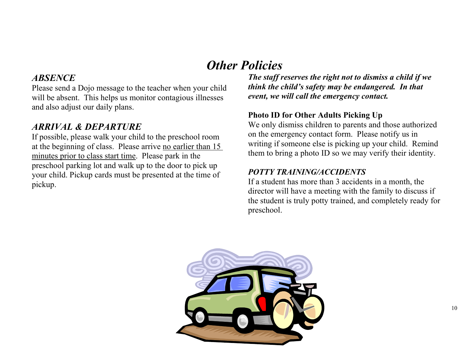# *Other Policies*

#### *ABSENCE*

Please send a Dojo message to the teacher when your child will be absent. This helps us monitor contagious illnesses and also adjust our daily plans.

# *ARRIVAL & DEPARTURE*

If possible, please walk your child to the preschool room at the beginning of class. Please arrive no earlier than 15 minutes prior to class start time. Please park in the preschool parking lot and walk up to the door to pick up your child. Pickup cards must be presented at the time of pickup.

*The staff reserves the right not to dismiss a child if we think the child's safety may be endangered. In that event, we will call the emergency contact.*

#### **Photo ID for Other Adults Picking Up**

We only dismiss children to parents and those authorized on the emergency contact form. Please notify us in writing if someone else is picking up your child. Remind them to bring a photo ID so we may verify their identity.

#### *POTTY TRAINING/ACCIDENTS*

If a student has more than 3 accidents in a month, the director will have a meeting with the family to discuss if the student is truly potty trained, and completely ready for preschool.

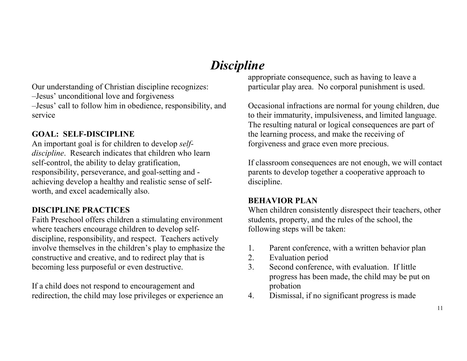# *Discipline*

Our understanding of Christian discipline recognizes: –Jesus' unconditional love and forgiveness –Jesus' call to follow him in obedience, responsibility, and service

#### **GOAL: SELF-DISCIPLINE**

An important goal is for children to develop *selfdiscipline*. Research indicates that children who learn self-control, the ability to delay gratification, responsibility, perseverance, and goal-setting and achieving develop a healthy and realistic sense of selfworth, and excel academically also.

#### **DISCIPLINE PRACTICES**

Faith Preschool offers children a stimulating environment where teachers encourage children to develop selfdiscipline, responsibility, and respect. Teachers actively involve themselves in the children's play to emphasize the constructive and creative, and to redirect play that is becoming less purposeful or even destructive.

If a child does not respond to encouragement and redirection, the child may lose privileges or experience an appropriate consequence, such as having to leave a particular play area. No corporal punishment is used.

Occasional infractions are normal for young children, due to their immaturity, impulsiveness, and limited language. The resulting natural or logical consequences are part of the learning process, and make the receiving of forgiveness and grace even more precious.

If classroom consequences are not enough, we will contact parents to develop together a cooperative approach to discipline.

#### **BEHAVIOR PLAN**

When children consistently disrespect their teachers, other students, property, and the rules of the school, the following steps will be taken:

- 1. Parent conference, with a written behavior plan
- 2. Evaluation period
- 3. Second conference, with evaluation. If little progress has been made, the child may be put on probation
- 4. Dismissal, if no significant progress is made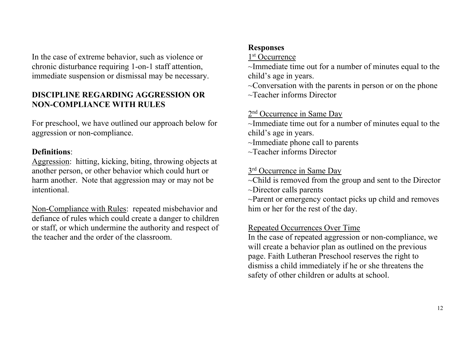In the case of extreme behavior, such as violence or chronic disturbance requiring 1-on-1 staff attention, immediate suspension or dismissal may be necessary.

#### **DISCIPLINE REGARDING AGGRESSION OR NON-COMPLIANCE WITH RULES**

For preschool, we have outlined our approach below for aggression or non-compliance.

#### **Definitions**:

Aggression: hitting, kicking, biting, throwing objects at another person, or other behavior which could hurt or harm another. Note that aggression may or may not be intentional.

Non-Compliance with Rules: repeated misbehavior and defiance of rules which could create a danger to children or staff, or which undermine the authority and respect of the teacher and the order of the classroom.

#### **Responses**

1<sup>st</sup> Occurrence

~Immediate time out for a number of minutes equal to the child's age in years.

 $\sim$ Conversation with the parents in person or on the phone ~Teacher informs Director

#### 2<sup>nd</sup> Occurrence in Same Day

~Immediate time out for a number of minutes equal to the child's age in years.

~Immediate phone call to parents

~Teacher informs Director

#### 3<sup>rd</sup> Occurrence in Same Day

~Child is removed from the group and sent to the Director ~Director calls parents

 $\sim$ Parent or emergency contact picks up child and removes him or her for the rest of the day.

#### Repeated Occurrences Over Time

In the case of repeated aggression or non-compliance, we will create a behavior plan as outlined on the previous page. Faith Lutheran Preschool reserves the right to dismiss a child immediately if he or she threatens the safety of other children or adults at school.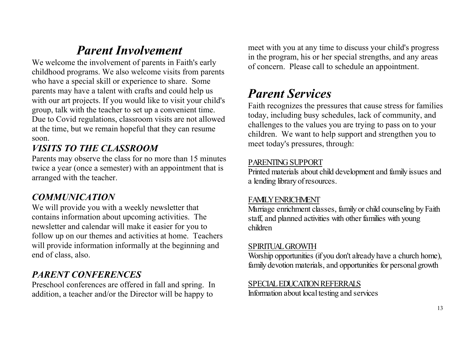# *Parent Involvement*

We welcome the involvement of parents in Faith's early childhood programs. We also welcome visits from parents who have a special skill or experience to share. Some parents may have a talent with crafts and could help us with our art projects. If you would like to visit your child's group, talk with the teacher to set up a convenient time. Due to Covid regulations, classroom visits are not allowed at the time, but we remain hopeful that they can resume soon.

# *VISITS TO THE CLASSROOM*

Parents may observe the class for no more than 15 minutes twice a year (once a semester) with an appointment that is arranged with the teacher.

### *COMMUNICATION*

We will provide you with a weekly newsletter that contains information about upcoming activities. The newsletter and calendar will make it easier for you to follow up on our themes and activities at home. Teachers will provide information informally at the beginning and end of class, also.

# *PARENT CONFERENCES*

Preschool conferences are offered in fall and spring. In addition, a teacher and/or the Director will be happy to

meet with you at any time to discuss your child's progress in the program, his or her special strengths, and any areas of concern. Please call to schedule an appointment.

# *Parent Services*

Faith recognizes the pressures that cause stress for families today, including busy schedules, lack of community, and challenges to the values you are trying to pass on to your children. We want to help support and strengthen you to meet today's pressures, through:

#### PARENTING SUPPORT

Printed materials about child development and family issues and a lending library of resources.

#### FAMILY ENRICHMENT

Marriage enrichment classes, family or child counseling by Faith staff, and planned activities with other families with young children

#### SPIRITUAL GROWTH

Worship opportunities (if you don't already have a church home), family devotion materials, and opportunities for personal growth

#### SPECIAL EDUCATION REFERRALS

Information about local testing and services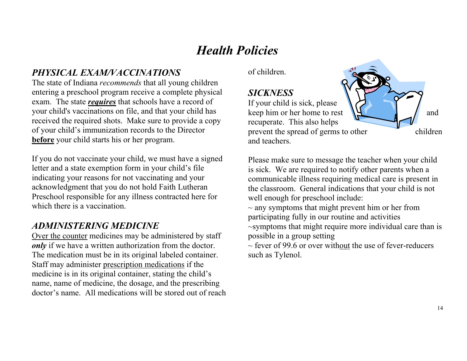# *Health Policies*

# *PHYSICAL EXAM/VACCINATIONS*

The state of Indiana *recommends* that all young children entering a preschool program receive a complete physical exam. The state *requires* that schools have a record of your child's vaccinations on file, and that your child has received the required shots. Make sure to provide a copy of your child's immunization records to the Director **before** your child starts his or her program.

If you do not vaccinate your child, we must have a signed letter and a state exemption form in your child's file indicating your reasons for not vaccinating and your acknowledgment that you do not hold Faith Lutheran Preschool responsible for any illness contracted here for which there is a vaccination.

### *ADMINISTERING MEDICINE*

Over the counter medicines may be administered by staff *only* if we have a written authorization from the doctor. The medication must be in its original labeled container. Staff may administer prescription medications if the medicine is in its original container, stating the child's name, name of medicine, the dosage, and the prescribing doctor's name. All medications will be stored out of reach of children.

#### *SICKNESS*

If your child is sick, please keep him or her home to rest  $\mathbf{H}$  and recuperate. This also helps prevent the spread of germs to other children and teachers.

Please make sure to message the teacher when your child is sick. We are required to notify other parents when a communicable illness requiring medical care is present in the classroom. General indications that your child is not well enough for preschool include:

 $\sim$  any symptoms that might prevent him or her from participating fully in our routine and activities ~symptoms that might require more individual care than is possible in a group setting

 $\sim$  fever of 99.6 or over without the use of fever-reducers such as Tylenol.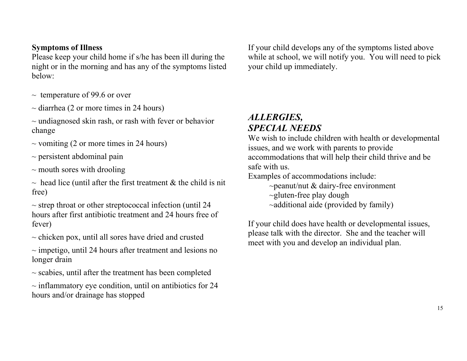#### **Symptoms of Illness**

Please keep your child home if s/he has been ill during the night or in the morning and has any of the symptoms listed below:

- $\sim$  temperature of 99.6 or over
- $\sim$  diarrhea (2 or more times in 24 hours)
- $\sim$  undiagnosed skin rash, or rash with fever or behavior change
- $\sim$  vomiting (2 or more times in 24 hours)
- $\sim$  persistent abdominal pain
- $\sim$  mouth sores with drooling
- $\sim$  head lice (until after the first treatment & the child is nit free)
- $\sim$  strep throat or other streptococcal infection (until 24) hours after first antibiotic treatment and 24 hours free of fever)
- $\sim$  chicken pox, until all sores have dried and crusted
- $\sim$  impetigo, until 24 hours after treatment and lesions no longer drain
- $\sim$  scabies, until after the treatment has been completed
- $\sim$  inflammatory eye condition, until on antibiotics for 24 hours and/or drainage has stopped

If your child develops any of the symptoms listed above while at school, we will notify you. You will need to pick your child up immediately.

### *ALLERGIES, SPECIAL NEEDS*

We wish to include children with health or developmental issues, and we work with parents to provide accommodations that will help their child thrive and be safe with us.

Examples of accommodations include:

- $\sim$ peanut/nut & dairy-free environment
- $\sim$ gluten-free play dough
- ~additional aide (provided by family)

If your child does have health or developmental issues, please talk with the director. She and the teacher will meet with you and develop an individual plan.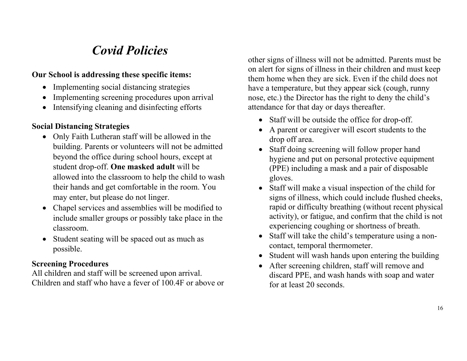# *Covid Policies*

#### **Our School is addressing these specific items:**

- Implementing social distancing strategies
- Implementing screening procedures upon arrival
- Intensifying cleaning and disinfecting efforts

#### **Social Distancing Strategies**

- Only Faith Lutheran staff will be allowed in the building. Parents or volunteers will not be admitted beyond the office during school hours, except at student drop-off. **One masked adult** will be allowed into the classroom to help the child to wash their hands and get comfortable in the room. You may enter, but please do not linger.
- Chapel services and assemblies will be modified to include smaller groups or possibly take place in the classroom.
- Student seating will be spaced out as much as possible.

#### **Screening Procedures**

All children and staff will be screened upon arrival. Children and staff who have a fever of 100.4F or above or other signs of illness will not be admitted. Parents must be on alert for signs of illness in their children and must keep them home when they are sick. Even if the child does not have a temperature, but they appear sick (cough, runny nose, etc.) the Director has the right to deny the child's attendance for that day or days thereafter.

- Staff will be outside the office for drop-off.
- A parent or caregiver will escort students to the drop off area.
- Staff doing screening will follow proper hand hygiene and put on personal protective equipment (PPE) including a mask and a pair of disposable gloves.
- Staff will make a visual inspection of the child for signs of illness, which could include flushed cheeks, rapid or difficulty breathing (without recent physical activity), or fatigue, and confirm that the child is not experiencing coughing or shortness of breath.
- Staff will take the child's temperature using a noncontact, temporal thermometer.
- Student will wash hands upon entering the building
- After screening children, staff will remove and discard PPE, and wash hands with soap and water for at least 20 seconds.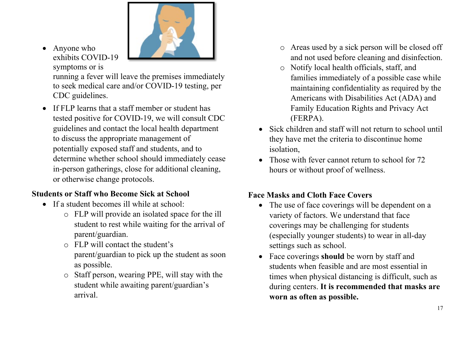

• Anyone who exhibits COVID-19 symptoms or is

running a fever will leave the premises immediately to seek medical care and/or COVID-19 testing, per CDC guidelines.

• If FLP learns that a staff member or student has tested positive for COVID-19, we will consult CDC guidelines and contact the local health department to discuss the appropriate management of potentially exposed staff and students, and to determine whether school should immediately cease in-person gatherings, close for additional cleaning, or otherwise change protocols.

#### **Students or Staff who Become Sick at School**

- If a student becomes ill while at school:
	- o FLP will provide an isolated space for the ill student to rest while waiting for the arrival of parent/guardian.
	- o FLP will contact the student's parent/guardian to pick up the student as soon as possible.
	- o Staff person, wearing PPE, will stay with the student while awaiting parent/guardian's arrival.
- o Areas used by a sick person will be closed off and not used before cleaning and disinfection.
- o Notify local health officials, staff, and families immediately of a possible case while maintaining confidentiality as required by the Americans with Disabilities Act (ADA) and Family Education Rights and Privacy Act (FERPA).
- Sick children and staff will not return to school until they have met the criteria to discontinue home isolation,
- Those with fever cannot return to school for 72 hours or without proof of wellness.

## **Face Masks and Cloth Face Covers**

- The use of face coverings will be dependent on a variety of factors. We understand that face coverings may be challenging for students (especially younger students) to wear in all-day settings such as school.
- Face coverings **should** be worn by staff and students when feasible and are most essential in times when physical distancing is difficult, such as during centers. **It is recommended that masks are worn as often as possible.**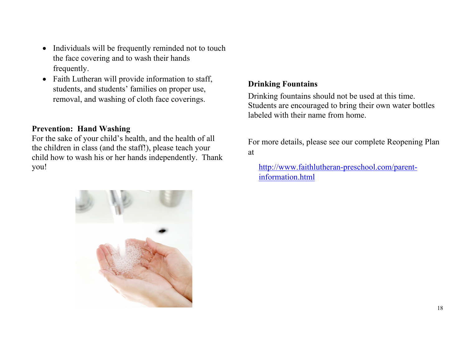- Individuals will be frequently reminded not to touch the face covering and to wash their hands frequently.
- Faith Lutheran will provide information to staff, students, and students' families on proper use, removal, and washing of cloth face coverings.

#### **Prevention: Hand Washing**

For the sake of your child's health, and the health of all the children in class (and the staff!), please teach your child how to wash his or her hands independently. Thank you!

#### **Drinking Fountains**

Drinking fountains should not be used at this time. Students are encouraged to bring their own water bottles labeled with their name from home.

For more details, please see our complete Reopening Plan at

[http://www.faithlutheran-preschool.com/parent](http://www.faithlutheran-preschool.com/parent-information.html)[information.html](http://www.faithlutheran-preschool.com/parent-information.html)

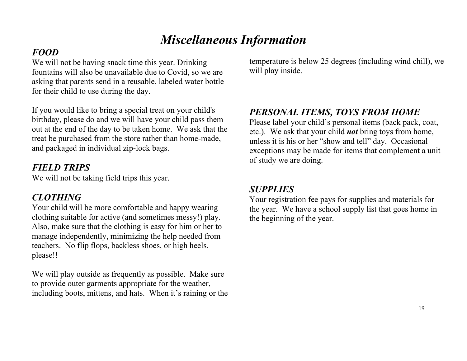# *Miscellaneous Information*

# *FOOD*

We will not be having snack time this year. Drinking fountains will also be unavailable due to Covid, so we are asking that parents send in a reusable, labeled water bottle for their child to use during the day.

If you would like to bring a special treat on your child's birthday, please do and we will have your child pass them out at the end of the day to be taken home. We ask that the treat be purchased from the store rather than home-made, and packaged in individual zip-lock bags.

# *FIELD TRIPS*

We will not be taking field trips this year.

# *CLOTHING*

Your child will be more comfortable and happy wearing clothing suitable for active (and sometimes messy!) play. Also, make sure that the clothing is easy for him or her to manage independently, minimizing the help needed from teachers. No flip flops, backless shoes, or high heels, please!!

We will play outside as frequently as possible. Make sure to provide outer garments appropriate for the weather, including boots, mittens, and hats. When it's raining or the temperature is below 25 degrees (including wind chill), we will play inside.

# *PERSONAL ITEMS, TOYS FROM HOME*

Please label your child's personal items (back pack, coat, etc.). We ask that your child *not* bring toys from home, unless it is his or her "show and tell" day. Occasional exceptions may be made for items that complement a unit of study we are doing.

## *SUPPLIES*

Your registration fee pays for supplies and materials for the year. We have a school supply list that goes home in the beginning of the year.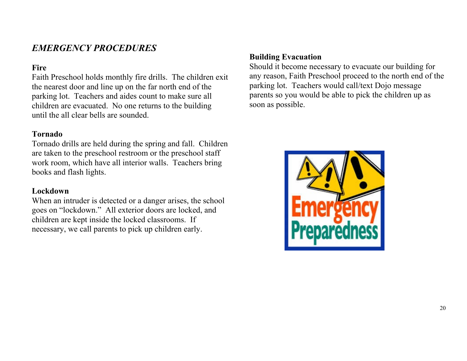### *EMERGENCY PROCEDURES*

#### **Fire**

Faith Preschool holds monthly fire drills. The children exit the nearest door and line up on the far north end of the parking lot. Teachers and aides count to make sure all children are evacuated. No one returns to the building until the all clear bells are sounded.

#### **Tornado**

Tornado drills are held during the spring and fall. Children are taken to the preschool restroom or the preschool staff work room, which have all interior walls. Teachers bring books and flash lights.

#### **Lockdown**

When an intruder is detected or a danger arises, the school goes on "lockdown." All exterior doors are locked, and children are kept inside the locked classrooms. If necessary, we call parents to pick up children early.

#### **Building Evacuation**

Should it become necessary to evacuate our building for any reason, Faith Preschool proceed to the north end of the parking lot. Teachers would call/text Dojo message parents so you would be able to pick the children up as soon as possible.